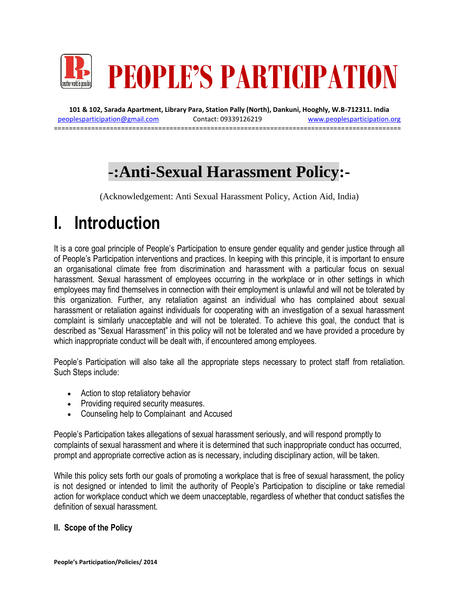

**101 & 102, Sarada Apartment, Library Para, Station Pally (North), Dankuni, Hooghly, W.B-712311. India** [peoplesparticipation@gmail.com](mailto:peoplesparticipation@gmail.com) Contact: 09339126219 [www.peoplesparticipation.org](http://www.peoplesparticipation.org/) =============================================================================================

# **-:Anti-Sexual Harassment Policy:-**

(Acknowledgement: Anti Sexual Harassment Policy, Action Aid, India)

# **I. Introduction**

It is a core goal principle of People's Participation to ensure gender equality and gender justice through all of People's Participation interventions and practices. In keeping with this principle, it is important to ensure an organisational climate free from discrimination and harassment with a particular focus on sexual harassment. Sexual harassment of employees occurring in the workplace or in other settings in which employees may find themselves in connection with their employment is unlawful and will not be tolerated by this organization. Further, any retaliation against an individual who has complained about sexual harassment or retaliation against individuals for cooperating with an investigation of a sexual harassment complaint is similarly unacceptable and will not be tolerated. To achieve this goal, the conduct that is described as "Sexual Harassment" in this policy will not be tolerated and we have provided a procedure by which inappropriate conduct will be dealt with, if encountered among employees.

People's Participation will also take all the appropriate steps necessary to protect staff from retaliation. Such Steps include:

- Action to stop retaliatory behavior
- Providing required security measures.
- Counseling help to Complainant and Accused

People's Participation takes allegations of sexual harassment seriously, and will respond promptly to complaints of sexual harassment and where it is determined that such inappropriate conduct has occurred, prompt and appropriate corrective action as is necessary, including disciplinary action, will be taken.

While this policy sets forth our goals of promoting a workplace that is free of sexual harassment, the policy is not designed or intended to limit the authority of People's Participation to discipline or take remedial action for workplace conduct which we deem unacceptable, regardless of whether that conduct satisfies the definition of sexual harassment.

# **II. Scope of the Policy**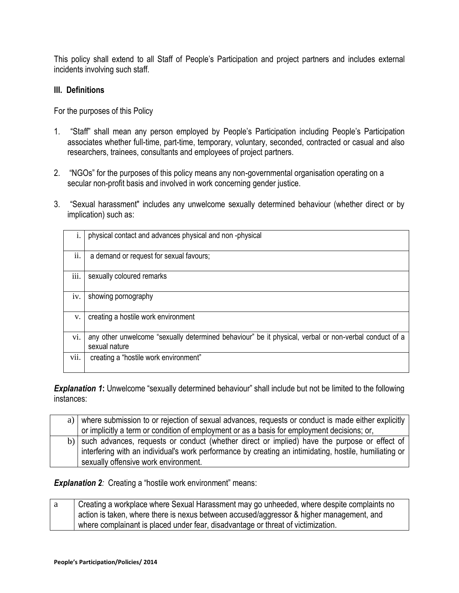This policy shall extend to all Staff of People's Participation and project partners and includes external incidents involving such staff.

#### **III. Definitions**

For the purposes of this Policy

- 1. "Staff" shall mean any person employed by People's Participation including People's Participation associates whether full-time, part-time, temporary, voluntary, seconded, contracted or casual and also researchers, trainees, consultants and employees of project partners.
- 2. "NGOs" for the purposes of this policy means any non-governmental organisation operating on a secular non-profit basis and involved in work concerning gender justice.
- 3. "Sexual harassment" includes any unwelcome sexually determined behaviour (whether direct or by implication) such as:

|      | physical contact and advances physical and non-physical                                                                |
|------|------------------------------------------------------------------------------------------------------------------------|
| ii.  | a demand or request for sexual favours;                                                                                |
| iii. | sexually coloured remarks                                                                                              |
| iv.  | showing pornography                                                                                                    |
| V.   | creating a hostile work environment                                                                                    |
| vi.  | any other unwelcome "sexually determined behaviour" be it physical, verbal or non-verbal conduct of a<br>sexual nature |
| vii. | creating a "hostile work environment"                                                                                  |

**Explanation 1:** Unwelcome "sexually determined behaviour" shall include but not be limited to the following instances:

| a) where submission to or rejection of sexual advances, requests or conduct is made either explicitly  |
|--------------------------------------------------------------------------------------------------------|
| or implicitly a term or condition of employment or as a basis for employment decisions; or,            |
| b) such advances, requests or conduct (whether direct or implied) have the purpose or effect of        |
| interfering with an individual's work performance by creating an intimidating, hostile, humiliating or |
| sexually offensive work environment.                                                                   |

**Explanation 2**: Creating a "hostile work environment" means:

a Creating a workplace where Sexual Harassment may go unheeded, where despite complaints no action is taken, where there is nexus between accused/aggressor & higher management, and where complainant is placed under fear, disadvantage or threat of victimization.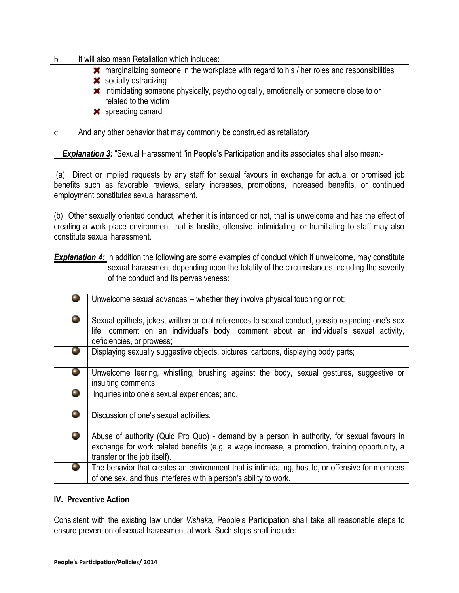|   | It will also mean Retaliation which includes:                                                                                                                                                                                                                                               |
|---|---------------------------------------------------------------------------------------------------------------------------------------------------------------------------------------------------------------------------------------------------------------------------------------------|
|   | <b>*</b> marginalizing someone in the workplace with regard to his / her roles and responsibilities<br><b>*</b> socially ostracizing<br><b>*</b> intimidating someone physically, psychologically, emotionally or someone close to or<br>related to the victim<br><b>*</b> spreading canard |
| c | And any other behavior that may commonly be construed as retaliatory                                                                                                                                                                                                                        |

**Explanation 3:** "Sexual Harassment "in People's Participation and its associates shall also mean:-

(a) Direct or implied requests by any staff for sexual favours in exchange for actual or promised job benefits such as favorable reviews, salary increases, promotions, increased benefits, or continued employment constitutes sexual harassment.

(b) Other sexually oriented conduct, whether it is intended or not, that is unwelcome and has the effect of creating a work place environment that is hostile, offensive, intimidating, or humiliating to staff may also constitute sexual harassment.

**Explanation 4:** In addition the following are some examples of conduct which if unwelcome, may constitute sexual harassment depending upon the totality of the circumstances including the severity of the conduct and its pervasiveness:

|           | Unwelcome sexual advances -- whether they involve physical touching or not;                                                                                                                                                  |
|-----------|------------------------------------------------------------------------------------------------------------------------------------------------------------------------------------------------------------------------------|
|           | Sexual epithets, jokes, written or oral references to sexual conduct, gossip regarding one's sex<br>life; comment on an individual's body, comment about an individual's sexual activity,<br>deficiencies, or prowess;       |
| σ,        | Displaying sexually suggestive objects, pictures, cartoons, displaying body parts;                                                                                                                                           |
| $\bullet$ | Unwelcome leering, whistling, brushing against the body, sexual gestures, suggestive or<br>insulting comments;                                                                                                               |
|           | Inquiries into one's sexual experiences; and,                                                                                                                                                                                |
|           | Discussion of one's sexual activities.                                                                                                                                                                                       |
|           | Abuse of authority (Quid Pro Quo) - demand by a person in authority, for sexual favours in<br>exchange for work related benefits (e.g. a wage increase, a promotion, training opportunity, a<br>transfer or the job itself). |
|           | The behavior that creates an environment that is intimidating, hostile, or offensive for members<br>of one sex, and thus interferes with a person's ability to work.                                                         |

# **IV. Preventive Action**

Consistent with the existing law under *Vishaka,* People's Participation shall take all reasonable steps to ensure prevention of sexual harassment at work. Such steps shall include: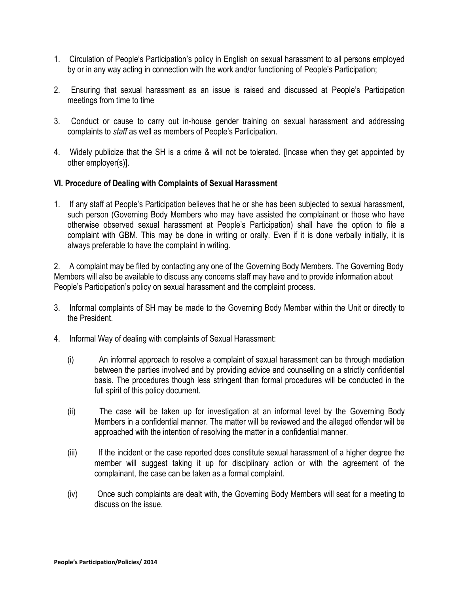- 1. Circulation of People's Participation's policy in English on sexual harassment to all persons employed by or in any way acting in connection with the work and/or functioning of People's Participation;
- 2. Ensuring that sexual harassment as an issue is raised and discussed at People's Participation meetings from time to time
- 3. Conduct or cause to carry out in-house gender training on sexual harassment and addressing complaints to *staff* as well as members of People's Participation.
- 4. Widely publicize that the SH is a crime & will not be tolerated. [Incase when they get appointed by other employer(s)].

#### **VI. Procedure of Dealing with Complaints of Sexual Harassment**

1. If any staff at People's Participation believes that he or she has been subjected to sexual harassment, such person (Governing Body Members who may have assisted the complainant or those who have otherwise observed sexual harassment at People's Participation) shall have the option to file a complaint with GBM. This may be done in writing or orally. Even if it is done verbally initially, it is always preferable to have the complaint in writing.

2. A complaint may be filed by contacting any one of the Governing Body Members. The Governing Body Members will also be available to discuss any concerns staff may have and to provide information about People's Participation's policy on sexual harassment and the complaint process.

- 3. Informal complaints of SH may be made to the Governing Body Member within the Unit or directly to the President.
- 4. Informal Way of dealing with complaints of Sexual Harassment:
	- (i) An informal approach to resolve a complaint of sexual harassment can be through mediation between the parties involved and by providing advice and counselling on a strictly confidential basis. The procedures though less stringent than formal procedures will be conducted in the full spirit of this policy document.
	- (ii) The case will be taken up for investigation at an informal level by the Governing Body Members in a confidential manner. The matter will be reviewed and the alleged offender will be approached with the intention of resolving the matter in a confidential manner.
	- (iii) If the incident or the case reported does constitute sexual harassment of a higher degree the member will suggest taking it up for disciplinary action or with the agreement of the complainant, the case can be taken as a formal complaint.
	- (iv) Once such complaints are dealt with, the Governing Body Members will seat for a meeting to discuss on the issue.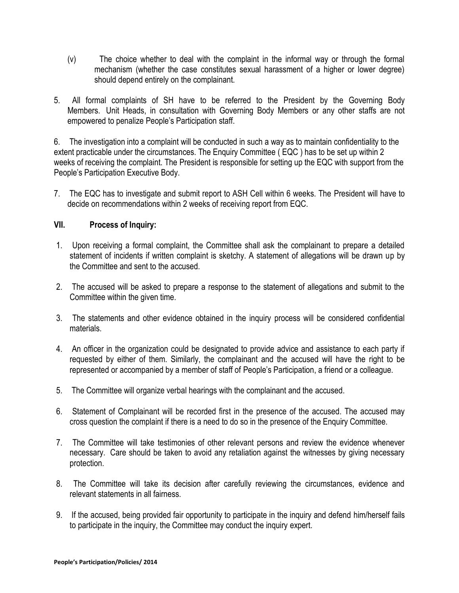- (v) The choice whether to deal with the complaint in the informal way or through the formal mechanism (whether the case constitutes sexual harassment of a higher or lower degree) should depend entirely on the complainant.
- 5. All formal complaints of SH have to be referred to the President by the Governing Body Members. Unit Heads, in consultation with Governing Body Members or any other staffs are not empowered to penalize People's Participation staff.

6. The investigation into a complaint will be conducted in such a way as to maintain confidentiality to the extent practicable under the circumstances. The Enquiry Committee ( EQC ) has to be set up within 2 weeks of receiving the complaint. The President is responsible for setting up the EQC with support from the People's Participation Executive Body.

7. The EQC has to investigate and submit report to ASH Cell within 6 weeks. The President will have to decide on recommendations within 2 weeks of receiving report from EQC.

# **VII. Process of Inquiry:**

- 1. Upon receiving a formal complaint, the Committee shall ask the complainant to prepare a detailed statement of incidents if written complaint is sketchy. A statement of allegations will be drawn up by the Committee and sent to the accused.
- 2. The accused will be asked to prepare a response to the statement of allegations and submit to the Committee within the given time.
- 3. The statements and other evidence obtained in the inquiry process will be considered confidential materials.
- 4. An officer in the organization could be designated to provide advice and assistance to each party if requested by either of them. Similarly, the complainant and the accused will have the right to be represented or accompanied by a member of staff of People's Participation, a friend or a colleague.
- 5. The Committee will organize verbal hearings with the complainant and the accused.
- 6. Statement of Complainant will be recorded first in the presence of the accused. The accused may cross question the complaint if there is a need to do so in the presence of the Enquiry Committee.
- 7. The Committee will take testimonies of other relevant persons and review the evidence whenever necessary. Care should be taken to avoid any retaliation against the witnesses by giving necessary protection.
- 8. The Committee will take its decision after carefully reviewing the circumstances, evidence and relevant statements in all fairness.
- 9. If the accused, being provided fair opportunity to participate in the inquiry and defend him/herself fails to participate in the inquiry, the Committee may conduct the inquiry expert.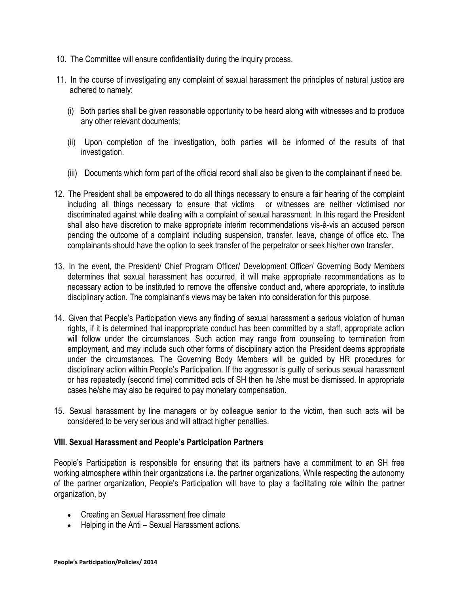- 10. The Committee will ensure confidentiality during the inquiry process.
- 11. In the course of investigating any complaint of sexual harassment the principles of natural justice are adhered to namely:
	- (i) Both parties shall be given reasonable opportunity to be heard along with witnesses and to produce any other relevant documents;
	- (ii) Upon completion of the investigation, both parties will be informed of the results of that investigation.
	- (iii) Documents which form part of the official record shall also be given to the complainant if need be.
- 12. The President shall be empowered to do all things necessary to ensure a fair hearing of the complaint including all things necessary to ensure that victims or witnesses are neither victimised nor discriminated against while dealing with a complaint of sexual harassment. In this regard the President shall also have discretion to make appropriate interim recommendations vis-à-vis an accused person pending the outcome of a complaint including suspension, transfer, leave, change of office etc. The complainants should have the option to seek transfer of the perpetrator or seek his/her own transfer.
- 13. In the event, the President/ Chief Program Officer/ Development Officer/ Governing Body Members determines that sexual harassment has occurred, it will make appropriate recommendations as to necessary action to be instituted to remove the offensive conduct and, where appropriate, to institute disciplinary action. The complainant's views may be taken into consideration for this purpose.
- 14. Given that People's Participation views any finding of sexual harassment a serious violation of human rights, if it is determined that inappropriate conduct has been committed by a staff, appropriate action will follow under the circumstances. Such action may range from counseling to termination from employment, and may include such other forms of disciplinary action the President deems appropriate under the circumstances. The Governing Body Members will be guided by HR procedures for disciplinary action within People's Participation. If the aggressor is guilty of serious sexual harassment or has repeatedly (second time) committed acts of SH then he /she must be dismissed. In appropriate cases he/she may also be required to pay monetary compensation.
- 15. Sexual harassment by line managers or by colleague senior to the victim, then such acts will be considered to be very serious and will attract higher penalties.

# **VIII. Sexual Harassment and People's Participation Partners**

People's Participation is responsible for ensuring that its partners have a commitment to an SH free working atmosphere within their organizations i.e. the partner organizations. While respecting the autonomy of the partner organization, People's Participation will have to play a facilitating role within the partner organization, by

- Creating an Sexual Harassment free climate
- Helping in the Anti Sexual Harassment actions.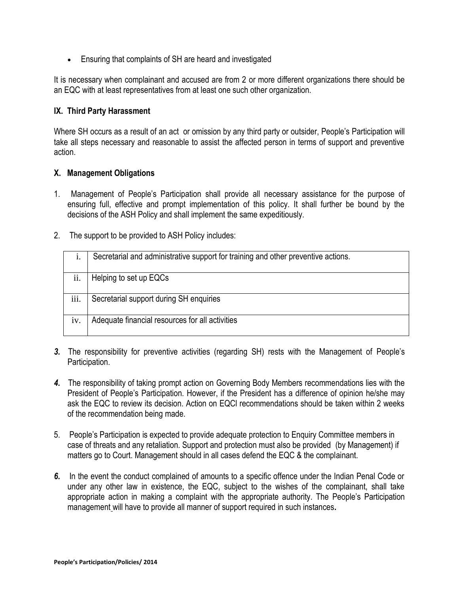Ensuring that complaints of SH are heard and investigated

It is necessary when complainant and accused are from 2 or more different organizations there should be an EQC with at least representatives from at least one such other organization.

#### **IX. Third Party Harassment**

Where SH occurs as a result of an act or omission by any third party or outsider, People's Participation will take all steps necessary and reasonable to assist the affected person in terms of support and preventive action.

#### **X. Management Obligations**

- 1. Management of People's Participation shall provide all necessary assistance for the purpose of ensuring full, effective and prompt implementation of this policy. It shall further be bound by the decisions of the ASH Policy and shall implement the same expeditiously.
- 2. The support to be provided to ASH Policy includes:

|      | Secretarial and administrative support for training and other preventive actions. |
|------|-----------------------------------------------------------------------------------|
|      |                                                                                   |
| ii.  | Helping to set up EQCs                                                            |
|      |                                                                                   |
|      |                                                                                   |
| iii. | Secretarial support during SH enquiries                                           |
| iv.  | Adequate financial resources for all activities                                   |
|      |                                                                                   |

- *3.* The responsibility for preventive activities (regarding SH) rests with the Management of People's Participation.
- *4.* The responsibility of taking prompt action on Governing Body Members recommendations lies with the President of People's Participation. However, if the President has a difference of opinion he/she may ask the EQC to review its decision. Action on EQCl recommendations should be taken within 2 weeks of the recommendation being made.
- 5. People's Participation is expected to provide adequate protection to Enquiry Committee members in case of threats and any retaliation. Support and protection must also be provided (by Management) if matters go to Court. Management should in all cases defend the EQC & the complainant.
- *6.* In the event the conduct complained of amounts to a specific offence under the Indian Penal Code or under any other law in existence, the EQC, subject to the wishes of the complainant, shall take appropriate action in making a complaint with the appropriate authority. The People's Participation management will have to provide all manner of support required in such instances*.*